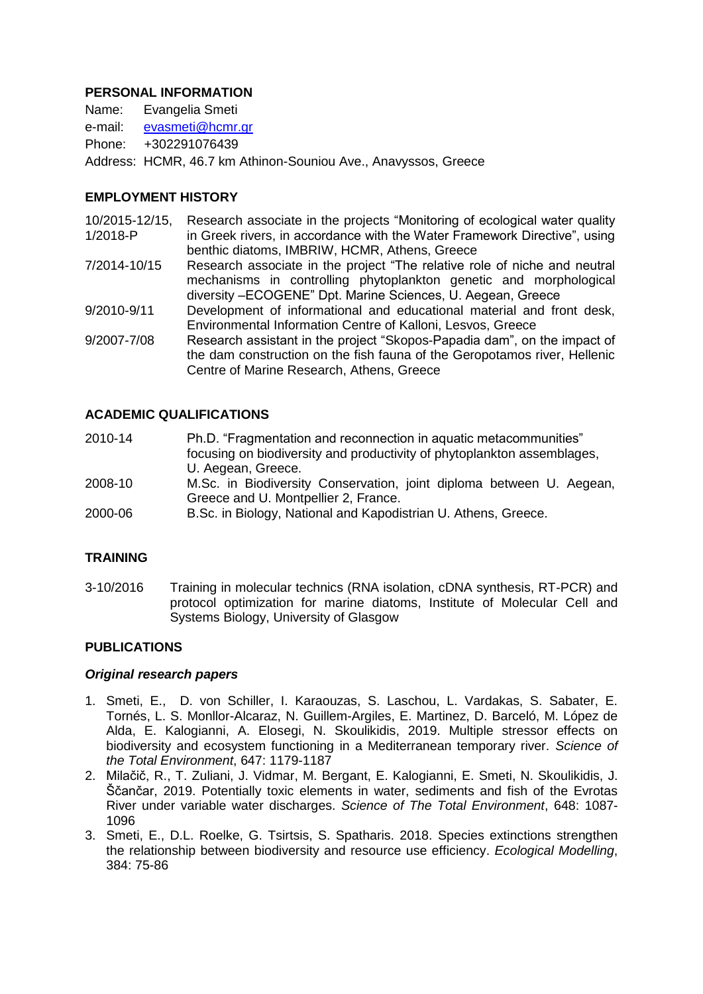### **PERSONAL INFORMATION**

Name: Evangelia Smeti e-mail: [evasmeti@hcmr.gr](mailto:evasmeti@hcmr.gr) Phone: +302291076439 Address: HCMR, 46.7 km Athinon-Souniou Ave., Anavyssos, Greece

# **EMPLOYMENT HISTORY**

- 10/2015-12/15, 1/2018-P Research associate in the projects "Monitoring of ecological water quality in Greek rivers, in accordance with the Water Framework Directive", using benthic diatoms, IMBRIW, HCMR, Athens, Greece
- 7/2014-10/15 Research associate in the project "The relative role of niche and neutral mechanisms in controlling phytoplankton genetic and morphological diversity –ECOGENE" Dpt. Marine Sciences, U. Aegean, Greece
- 9/2010-9/11 Development of informational and educational material and front desk, Environmental Information Centre of Kalloni, Lesvos, Greece
- 9/2007-7/08 Research assistant in the project "Skopos-Papadia dam", on the impact of the dam construction on the fish fauna of the Geropotamos river, Hellenic Centre of Marine Research, Athens, Greece

### **ACADEMIC QUALIFICATIONS**

- 2010-14 Ph.D. "Fragmentation and reconnection in aquatic metacommunities" focusing on biodiversity and productivity of phytoplankton assemblages, U. Aegean, Greece.
- 2008-10 M.Sc. in Biodiversity Conservation, joint diploma between U. Aegean, Greece and U. Montpellier 2, France.
- 2000-06 B.Sc. in Biology, National and Kapodistrian U. Athens, Greece.

### **TRAINING**

3-10/2016 Training in molecular technics (RNA isolation, cDNA synthesis, RT-PCR) and protocol optimization for marine diatoms, Institute of Molecular Cell and Systems Biology, University of Glasgow

### **PUBLICATIONS**

#### *Original research papers*

- 1. Smeti, E., D. von Schiller, I. Karaouzas, S. Laschou, L. Vardakas, S. Sabater, E. Tornés, L. S. Monllor-Alcaraz, N. Guillem-Argiles, E. Martinez, D. Barceló, M. López de Alda, E. Kalogianni, A. Elosegi, N. Skoulikidis, 2019. Multiple stressor effects on biodiversity and ecosystem functioning in a Mediterranean temporary river. *Science of the Total Environment*, 647: 1179-1187
- 2. Milačič, R., T. Zuliani, J. Vidmar, M. Bergant, E. Kalogianni, E. Smeti, N. Skoulikidis, J. Ščančar, 2019. Potentially toxic elements in water, sediments and fish of the Evrotas River under variable water discharges. *Science of The Total Environment*, 648: 1087- 1096
- 3. Smeti, E., D.L. Roelke, G. Tsirtsis, S. Spatharis. 2018. [Species extinctions strengthen](javascript:void(0))  [the relationship between biodiversity and resource use efficiency.](javascript:void(0)) *Ecological Modelling*, 384: 75-86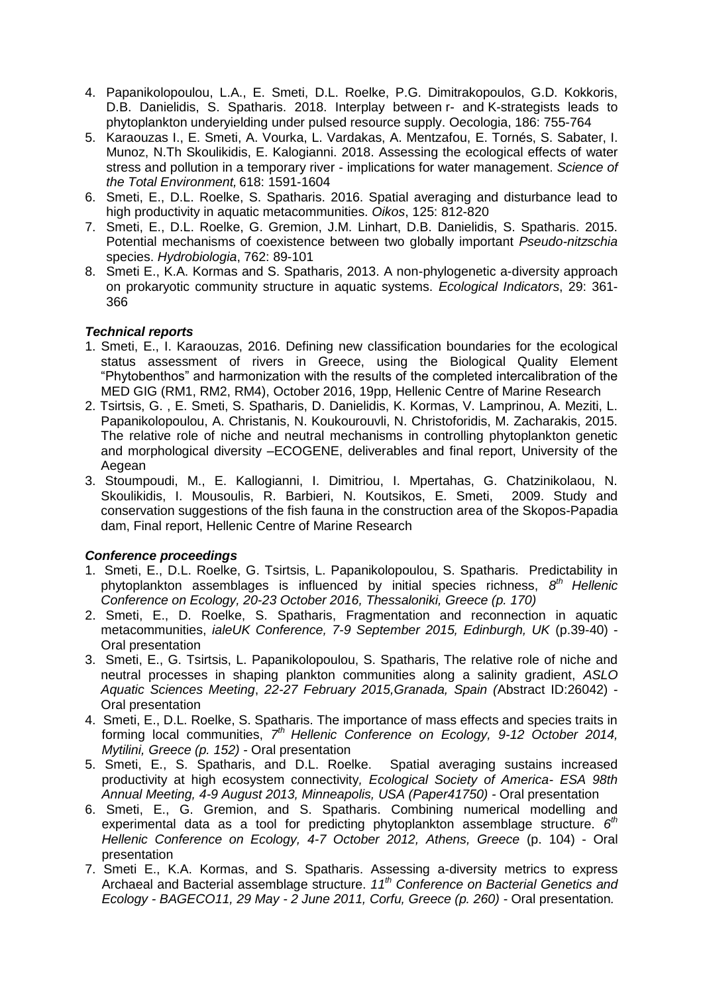- 4. Papanikolopoulou, L.A., E. Smeti, D.L. Roelke, P.G. Dimitrakopoulos, G.D. Kokkoris, D.B. Danielidis, S. Spatharis. 2018. Interplay between r- and [K-strategists leads to](javascript:void(0))  [phytoplankton underyielding under pulsed resource supply.](javascript:void(0)) Oecologia, 186: 755-764
- 5. Karaouzas I., E. Smeti, A. Vourka, L. Vardakas, A. Mentzafou, E. Tornés, S. Sabater, I. Munoz, N.Th Skoulikidis, E. Kalogianni. 2018. Assessing the ecological effects of water stress and pollution in a temporary river - implications for water management. *Science of the Total Environment,* 618: 1591-1604
- 6. Smeti, E., D.L. Roelke, S. Spatharis. 2016. Spatial averaging and disturbance lead to high productivity in aquatic metacommunities. *Oikos*, 125: 812-820
- 7. Smeti, E., D.L. Roelke, G. Gremion, J.M. Linhart, D.B. Danielidis, S. Spatharis. 2015. Potential mechanisms of coexistence between two globally important *Pseudo-nitzschia* species. *Hydrobiologia*, 762: 89-101
- 8. Smeti E., K.A. Kormas and S. Spatharis, 2013. A non-phylogenetic a-diversity approach on prokaryotic community structure in aquatic systems. *Ecological Indicators*, 29: 361- 366

## *Technical reports*

- 1. Smeti, E., I. Karaouzas, 2016. Defining new classification boundaries for the ecological status assessment of rivers in Greece, using the Biological Quality Element "Phytobenthos" and harmonization with the results of the completed intercalibration of the MED GIG (RM1, RM2, RM4), October 2016, 19pp, Hellenic Centre of Marine Research
- 2. Tsirtsis, G. , E. Smeti, S. Spatharis, D. Danielidis, K. Kormas, V. Lamprinou, A. Meziti, L. Papanikolopoulou, A. Christanis, N. Koukourouvli, N. Christoforidis, M. Zacharakis, 2015. The relative role of niche and neutral mechanisms in controlling phytoplankton genetic and morphological diversity –ECOGENE, deliverables and final report, University of the Aegean
- 3. Stoumpoudi, M., E. Kallogianni, I. Dimitriou, I. Mpertahas, G. Chatzinikolaou, N. Skoulikidis, I. Mousoulis, R. Barbieri, N. Koutsikos, E. Smeti, 2009. Study and conservation suggestions of the fish fauna in the construction area of the Skopos-Papadia dam, Final report, Hellenic Centre of Marine Research

# *Conference proceedings*

- 1. Smeti, E., D.L. Roelke, G. Tsirtsis, L. Papanikolopoulou, S. Spatharis. Predictability in phytoplankton assemblages is influenced by initial species richness, *8 th Hellenic Conference on Ecology, 20-23 October 2016, Thessaloniki, Greece (p. 170)*
- 2. Smeti, E., D. Roelke, S. Spatharis, Fragmentation and reconnection in aquatic metacommunities, *ialeUK Conference, 7-9 September 2015, Edinburgh, UK* (p.39-40) - Oral presentation
- 3. Smeti, E., G. Tsirtsis, L. Papanikolopoulou, S. Spatharis, The relative role of niche and neutral processes in shaping plankton communities along a salinity gradient, *ASLO Aquatic Sciences Meeting*, *22-27 February 2015,Granada, Spain (*Abstract ID:26042) - Oral presentation
- 4. Smeti, E., D.L. Roelke, S. Spatharis. The importance of mass effects and species traits in forming local communities, 7<sup>th</sup> Hellenic Conference on Ecology, 9-12 October 2014, *Mytilini, Greece (p. 152) -* Oral presentation
- 5. Smeti, E., S. Spatharis, and D.L. Roelke. Spatial averaging sustains increased productivity at high ecosystem connectivity*, Ecological Society of America- ESA 98th Annual Meeting, 4-9 August 2013, Minneapolis, USA (Paper41750) -* Oral presentation
- 6. Smeti, E., G. Gremion, and S. Spatharis. Combining numerical modelling and experimental data as a tool for predicting phytoplankton assemblage structure. 6<sup>th</sup> *Hellenic Conference on Ecology, 4-7 October 2012, Athens, Greece* (p. 104) - Oral presentation
- 7. Smeti E., K.A. Kormas, and S. Spatharis. Assessing a-diversity metrics to express Archaeal and Bacterial assemblage structure. *11th Conference on Bacterial Genetics and Ecology - BAGECO11, 29 May - 2 June 2011, Corfu, Greece (p. 260) -* Oral presentation*.*